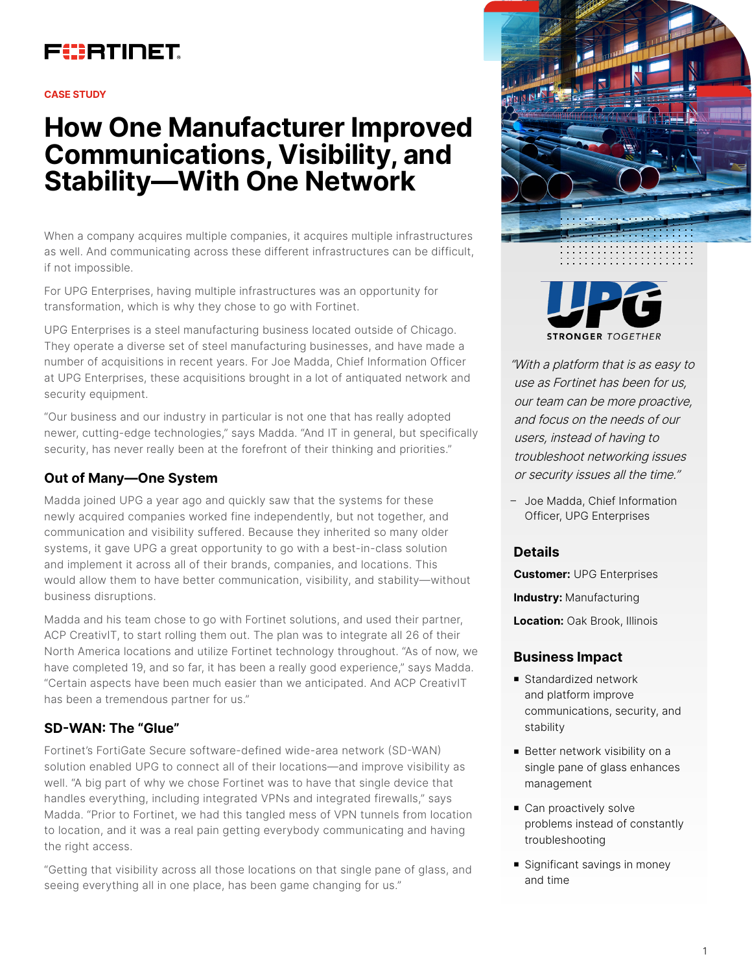## FURTINET

#### **CASE STUDY**

# **How One Manufacturer Improved Communications, Visibility, and Stability—With One Network**

When a company acquires multiple companies, it acquires multiple infrastructures as well. And communicating across these different infrastructures can be difficult, if not impossible.

For UPG Enterprises, having multiple infrastructures was an opportunity for transformation, which is why they chose to go with Fortinet.

UPG Enterprises is a steel manufacturing business located outside of Chicago. They operate a diverse set of steel manufacturing businesses, and have made a number of acquisitions in recent years. For Joe Madda, Chief Information Officer at UPG Enterprises, these acquisitions brought in a lot of antiquated network and security equipment.

"Our business and our industry in particular is not one that has really adopted newer, cutting-edge technologies," says Madda. "And IT in general, but specifically security, has never really been at the forefront of their thinking and priorities."

## **Out of Many—One System**

Madda joined UPG a year ago and quickly saw that the systems for these newly acquired companies worked fine independently, but not together, and communication and visibility suffered. Because they inherited so many older systems, it gave UPG a great opportunity to go with a best-in-class solution and implement it across all of their brands, companies, and locations. This would allow them to have better communication, visibility, and stability—without business disruptions.

Madda and his team chose to go with Fortinet solutions, and used their partner, ACP CreativIT, to start rolling them out. The plan was to integrate all 26 of their North America locations and utilize Fortinet technology throughout. "As of now, we have completed 19, and so far, it has been a really good experience," says Madda. "Certain aspects have been much easier than we anticipated. And ACP CreativIT has been a tremendous partner for us."

## **SD-WAN: The "Glue"**

Fortinet's FortiGate Secure software-defined wide-area network (SD-WAN) solution enabled UPG to connect all of their locations—and improve visibility as well. "A big part of why we chose Fortinet was to have that single device that handles everything, including integrated VPNs and integrated firewalls," says Madda. "Prior to Fortinet, we had this tangled mess of VPN tunnels from location to location, and it was a real pain getting everybody communicating and having the right access.

"Getting that visibility across all those locations on that single pane of glass, and seeing everything all in one place, has been game changing for us."





"With a platform that is as easy to use as Fortinet has been for us, our team can be more proactive, and focus on the needs of our users, instead of having to troubleshoot networking issues or security issues all the time."

– Joe Madda, Chief Information Officer, UPG Enterprises

### **Details**

**Customer:** UPG Enterprises

**Industry:** Manufacturing

**Location:** Oak Brook, Illinois

#### **Business Impact**

- Standardized network and platform improve communications, security, and stability
- Better network visibility on a single pane of glass enhances management
- Can proactively solve problems instead of constantly troubleshooting
- Significant savings in money and time